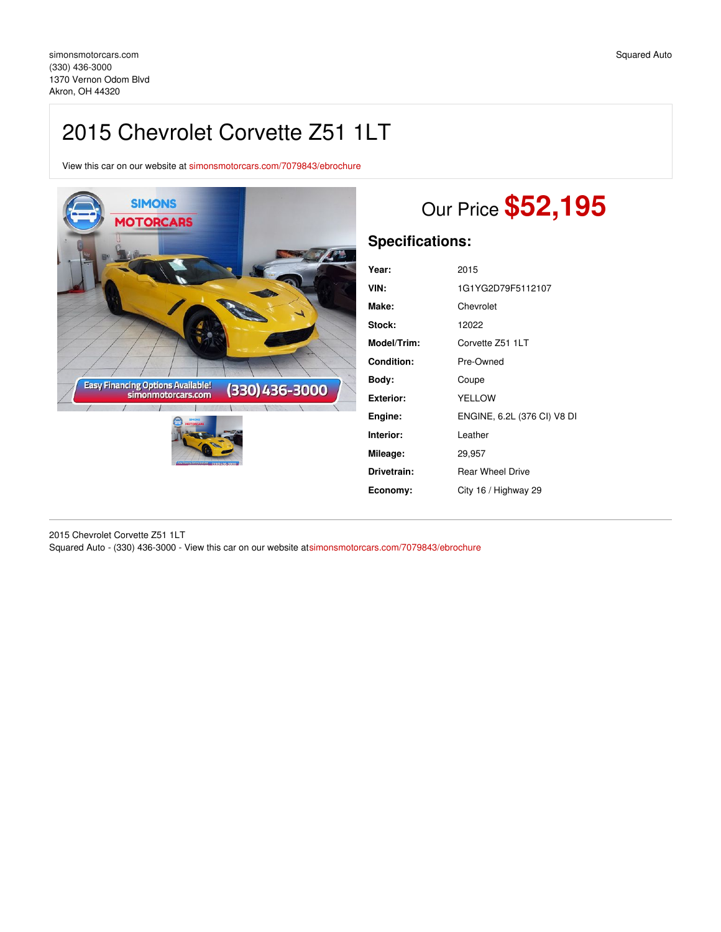# 2015 Chevrolet Corvette Z51 1LT

View this car on our website at [simonsmotorcars.com/7079843/ebrochure](https://simonsmotorcars.com/vehicle/7079843/2015-chevrolet-corvette-z51-1lt-akron-oh-44320/7079843/ebrochure)



# Our Price **\$52,195**

## **Specifications:**

| 2015                        |
|-----------------------------|
| 1G1YG2D79F5112107           |
| Chevrolet                   |
| 12022                       |
| Corvette Z51 1LT            |
| Pre-Owned                   |
| Coupe                       |
| <b>YELLOW</b>               |
| ENGINE, 6.2L (376 CI) V8 DI |
| Leather                     |
| 29,957                      |
| <b>Rear Wheel Drive</b>     |
| City 16 / Highway 29        |
|                             |

2015 Chevrolet Corvette Z51 1LT Squared Auto - (330) 436-3000 - View this car on our website a[tsimonsmotorcars.com/7079843/ebrochure](https://simonsmotorcars.com/vehicle/7079843/2015-chevrolet-corvette-z51-1lt-akron-oh-44320/7079843/ebrochure)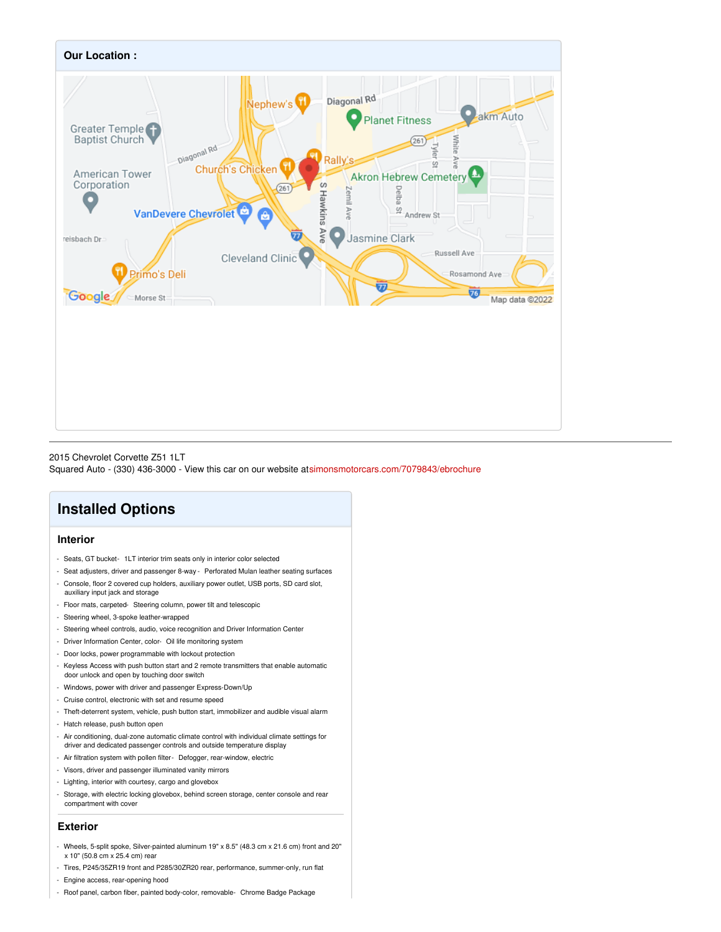

#### 2015 Chevrolet Corvette Z51 1LT

Squared Auto - (330) 436-3000 - View this car on our website a[tsimonsmotorcars.com/7079843/ebrochure](https://simonsmotorcars.com/vehicle/7079843/2015-chevrolet-corvette-z51-1lt-akron-oh-44320/7079843/ebrochure)

## **Installed Options**

#### **Interior**

- Seats, GT bucket- 1LT interior trim seats only in interior color selected
- Seat adjusters, driver and passenger 8-way Perforated Mulan leather seating surfaces
- Console, floor 2 covered cup holders, auxiliary power outlet, USB ports, SD card slot, auxiliary input jack and storage
- Floor mats, carpeted- Steering column, power tilt and telescopic
- Steering wheel, 3-spoke leather-wrapped
- Steering wheel controls, audio, voice recognition and Driver Information Center
- Driver Information Center, color- Oil life monitoring system
- Door locks, power programmable with lockout protection
- Keyless Access with push button start and 2 remote transmitters that enable automatic door unlock and open by touching door switch
- Windows, power with driver and passenger Express-Down/Up
- Cruise control, electronic with set and resume speed
- Theft-deterrent system, vehicle, push button start, immobilizer and audible visual alarm
- Hatch release, push button open
- Air conditioning, dual-zone automatic climate control with individual climate settings for driver and dedicated passenger controls and outside temperature display
- Air filtration system with pollen filter- Defogger, rear-window, electric
- Visors, driver and passenger illuminated vanity mirrors
- Lighting, interior with courtesy, cargo and glovebox
- Storage, with electric locking glovebox, behind screen storage, center console and rear compartment with cover

#### **Exterior**

- Wheels, 5-split spoke, Silver-painted aluminum 19" x 8.5" (48.3 cm x 21.6 cm) front and 20" x 10" (50.8 cm x 25.4 cm) rear
- Tires, P245/35ZR19 front and P285/30ZR20 rear, performance, summer-only, run flat
- Engine access, rear-opening hood
- Roof panel, carbon fiber, painted body-color, removable- Chrome Badge Package